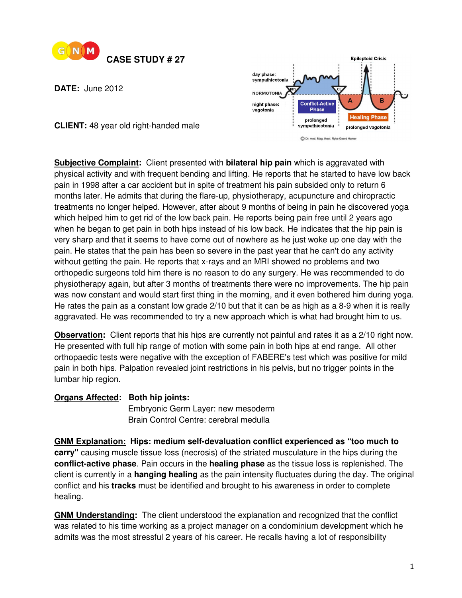

**DATE:** June 2012



**CLIENT:** 48 year old right-handed male

**Subjective Complaint:** Client presented with **bilateral hip pain** which is aggravated with physical activity and with frequent bending and lifting. He reports that he started to have low back pain in 1998 after a car accident but in spite of treatment his pain subsided only to return 6 months later. He admits that during the flare-up, physiotherapy, acupuncture and chiropractic treatments no longer helped. However, after about 9 months of being in pain he discovered yoga which helped him to get rid of the low back pain. He reports being pain free until 2 years ago when he began to get pain in both hips instead of his low back. He indicates that the hip pain is very sharp and that it seems to have come out of nowhere as he just woke up one day with the pain. He states that the pain has been so severe in the past year that he can't do any activity without getting the pain. He reports that x-rays and an MRI showed no problems and two orthopedic surgeons told him there is no reason to do any surgery. He was recommended to do physiotherapy again, but after 3 months of treatments there were no improvements. The hip pain was now constant and would start first thing in the morning, and it even bothered him during yoga. He rates the pain as a constant low grade 2/10 but that it can be as high as a 8-9 when it is really aggravated. He was recommended to try a new approach which is what had brought him to us.

**Observation:** Client reports that his hips are currently not painful and rates it as a 2/10 right now. He presented with full hip range of motion with some pain in both hips at end range. All other orthopaedic tests were negative with the exception of FABERE's test which was positive for mild pain in both hips. Palpation revealed joint restrictions in his pelvis, but no trigger points in the lumbar hip region.

## **Organs Affected: Both hip joints:**

**Embryonic Germ Layer: new mesoderm** Brain Control Centre: cerebral medulla

**GNM Explanation: Hips: medium self-devaluation conflict experienced as "too much to carry"** causing muscle tissue loss (necrosis) of the striated musculature in the hips during the **conflict-active phase**. Pain occurs in the **healing phase** as the tissue loss is replenished. The client is currently in a **hanging healing** as the pain intensity fluctuates during the day. The original conflict and his **tracks** must be identified and brought to his awareness in order to complete healing.

**GNM Understanding:** The client understood the explanation and recognized that the conflict was related to his time working as a project manager on a condominium development which he admits was the most stressful 2 years of his career. He recalls having a lot of responsibility